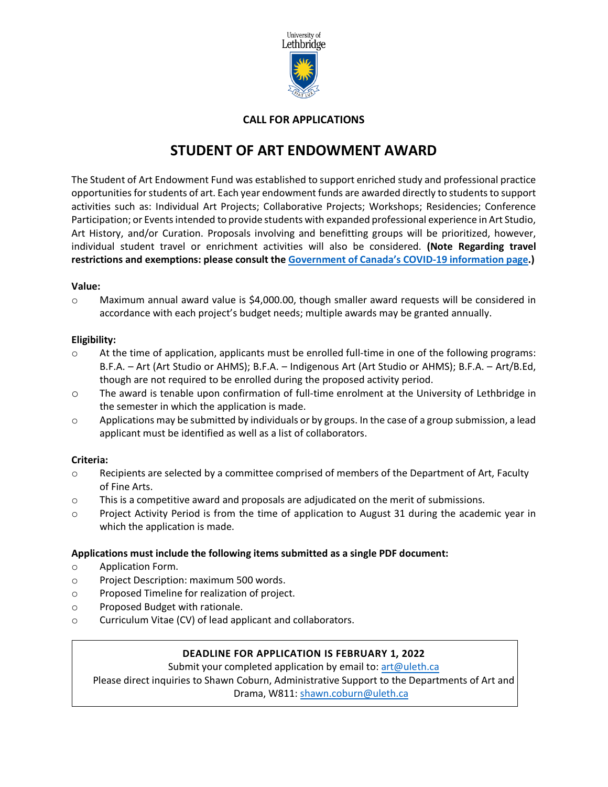

# **CALL FOR APPLICATIONS**

# **STUDENT OF ART ENDOWMENT AWARD**

The Student of Art Endowment Fund was established to support enriched study and professional practice opportunities for students of art. Each year endowment funds are awarded directly to students to support activities such as: Individual Art Projects; Collaborative Projects; Workshops; Residencies; Conference Participation; or Events intended to provide students with expanded professional experience in Art Studio, Art History, and/or Curation. Proposals involving and benefitting groups will be prioritized, however, individual student travel or enrichment activities will also be considered. **(Note Regarding travel restrictions and exemptions: please consult the [Government of Canada's COVID-19 information page.](https://travel.gc.ca/travel-covid))**

### **Value:**

o Maximum annual award value is \$4,000.00, though smaller award requests will be considered in accordance with each project's budget needs; multiple awards may be granted annually.

## **Eligibility:**

- $\circ$  At the time of application, applicants must be enrolled full-time in one of the following programs: B.F.A. – Art (Art Studio or AHMS); B.F.A. – Indigenous Art (Art Studio or AHMS); B.F.A. – Art/B.Ed, though are not required to be enrolled during the proposed activity period.
- o The award is tenable upon confirmation of full-time enrolment at the University of Lethbridge in the semester in which the application is made.
- $\circ$  Applications may be submitted by individuals or by groups. In the case of a group submission, a lead applicant must be identified as well as a list of collaborators.

# **Criteria:**

- $\circ$  Recipients are selected by a committee comprised of members of the Department of Art, Faculty of Fine Arts.
- $\circ$  This is a competitive award and proposals are adjudicated on the merit of submissions.
- o Project Activity Period is from the time of application to August 31 during the academic year in which the application is made.

# **Applications must include the following items submitted as a single PDF document:**

- o Application Form.
- o Project Description: maximum 500 words.
- o Proposed Timeline for realization of project.
- o Proposed Budget with rationale.
- o Curriculum Vitae (CV) of lead applicant and collaborators.

# **DEADLINE FOR APPLICATION IS FEBRUARY 1, 2022**

Submit your completed application by email to: [art@uleth.ca](mailto:art@uleth.ca) Please direct inquiries to Shawn Coburn, Administrative Support to the Departments of Art and Drama, W811: [shawn.coburn@uleth.ca](mailto:shawn.coburn@uleth.ca)